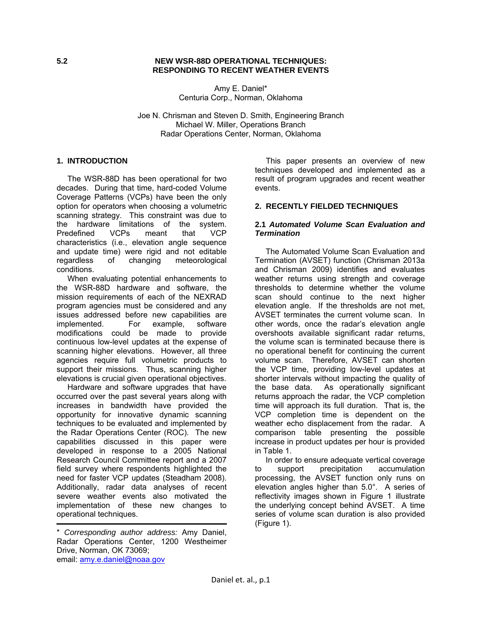#### **5.2 NEW WSR-88D OPERATIONAL TECHNIQUES: RESPONDING TO RECENT WEATHER EVENTS**

Amy E. Daniel\* Centuria Corp., Norman, Oklahoma

Joe N. Chrisman and Steven D. Smith, Engineering Branch Michael W. Miller, Operations Branch Radar Operations Center, Norman, Oklahoma

### **1. INTRODUCTION**

 The WSR-88D has been operational for two decades. During that time, hard-coded Volume Coverage Patterns (VCPs) have been the only option for operators when choosing a volumetric scanning strategy. This constraint was due to the hardware limitations of the system. Predefined VCPs meant that VCP characteristics (i.e., elevation angle sequence and update time) were rigid and not editable regardless of changing meteorological conditions.

 When evaluating potential enhancements to the WSR-88D hardware and software, the mission requirements of each of the NEXRAD program agencies must be considered and any issues addressed before new capabilities are implemented. For example, software modifications could be made to provide continuous low-level updates at the expense of scanning higher elevations. However, all three agencies require full volumetric products to support their missions. Thus, scanning higher elevations is crucial given operational objectives.

 Hardware and software upgrades that have occurred over the past several years along with increases in bandwidth have provided the opportunity for innovative dynamic scanning techniques to be evaluated and implemented by the Radar Operations Center (ROC). The new capabilities discussed in this paper were developed in response to a 2005 National Research Council Committee report and a 2007 field survey where respondents highlighted the need for faster VCP updates (Steadham 2008). Additionally, radar data analyses of recent severe weather events also motivated the implementation of these new changes to operational techniques.

 This paper presents an overview of new techniques developed and implemented as a result of program upgrades and recent weather events.

## **2. RECENTLY FIELDED TECHNIQUES**

#### **2.1** *Automated Volume Scan Evaluation and Termination*

 The Automated Volume Scan Evaluation and Termination (AVSET) function (Chrisman 2013a and Chrisman 2009) identifies and evaluates weather returns using strength and coverage thresholds to determine whether the volume scan should continue to the next higher elevation angle. If the thresholds are not met, AVSET terminates the current volume scan. In other words, once the radar's elevation angle overshoots available significant radar returns, the volume scan is terminated because there is no operational benefit for continuing the current volume scan. Therefore, AVSET can shorten the VCP time, providing low-level updates at shorter intervals without impacting the quality of the base data. As operationally significant As operationally significant returns approach the radar, the VCP completion time will approach its full duration. That is, the VCP completion time is dependent on the weather echo displacement from the radar. A comparison table presenting the possible increase in product updates per hour is provided in Table 1.

 In order to ensure adequate vertical coverage to support precipitation accumulation processing, the AVSET function only runs on elevation angles higher than 5.0°. A series of reflectivity images shown in Figure 1 illustrate the underlying concept behind AVSET. A time series of volume scan duration is also provided (Figure 1).

<sup>\*</sup> *Corresponding author address:* Amy Daniel, Radar Operations Center, 1200 Westheimer Drive, Norman, OK 73069; email: amy.e.daniel@noaa.gov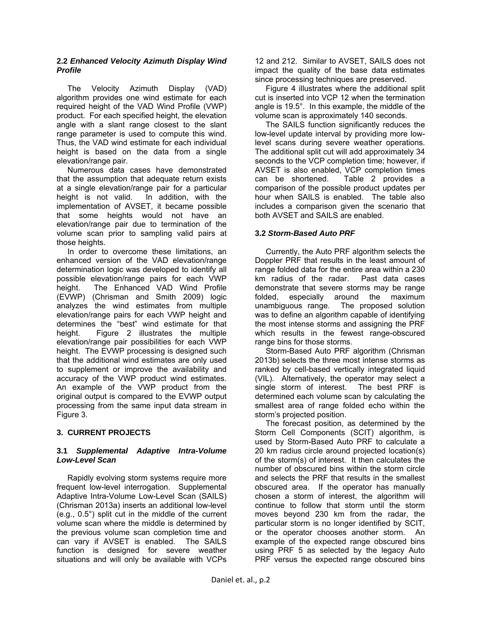### **2.2** *Enhanced Velocity Azimuth Display Wind Profile*

 The Velocity Azimuth Display (VAD) algorithm provides one wind estimate for each required height of the VAD Wind Profile (VWP) product. For each specified height, the elevation angle with a slant range closest to the slant range parameter is used to compute this wind. Thus, the VAD wind estimate for each individual height is based on the data from a single elevation/range pair.

 Numerous data cases have demonstrated that the assumption that adequate return exists at a single elevation/range pair for a particular height is not valid. In addition, with the implementation of AVSET, it became possible that some heights would not have an elevation/range pair due to termination of the volume scan prior to sampling valid pairs at those heights.

 In order to overcome these limitations, an enhanced version of the VAD elevation/range determination logic was developed to identify all possible elevation/range pairs for each VWP height. The Enhanced VAD Wind Profile (EVWP) (Chrisman and Smith 2009) logic analyzes the wind estimates from multiple elevation/range pairs for each VWP height and determines the "best" wind estimate for that height. Figure 2 illustrates the multiple elevation/range pair possibilities for each VWP height. The EVWP processing is designed such that the additional wind estimates are only used to supplement or improve the availability and accuracy of the VWP product wind estimates. An example of the VWP product from the original output is compared to the EVWP output processing from the same input data stream in Figure 3.

# **3. CURRENT PROJECTS**

#### **3.1** *Supplemental Adaptive Intra-Volume Low-Level Scan*

 Rapidly evolving storm systems require more frequent low-level interrogation. Supplemental Adaptive Intra-Volume Low-Level Scan (SAILS) (Chrisman 2013a) inserts an additional low-level (e.g., 0.5°) split cut in the middle of the current volume scan where the middle is determined by the previous volume scan completion time and can vary if AVSET is enabled. The SAILS function is designed for severe weather situations and will only be available with VCPs

12 and 212. Similar to AVSET, SAILS does not impact the quality of the base data estimates since processing techniques are preserved.

 Figure 4 illustrates where the additional split cut is inserted into VCP 12 when the termination angle is 19.5°. In this example, the middle of the volume scan is approximately 140 seconds.

 The SAILS function significantly reduces the low-level update interval by providing more lowlevel scans during severe weather operations. The additional split cut will add approximately 34 seconds to the VCP completion time; however, if AVSET is also enabled, VCP completion times can be shortened. Table 2 provides a comparison of the possible product updates per hour when SAILS is enabled. The table also includes a comparison given the scenario that both AVSET and SAILS are enabled.

## **3.2** *Storm-Based Auto PRF*

 Currently, the Auto PRF algorithm selects the Doppler PRF that results in the least amount of range folded data for the entire area within a 230 km radius of the radar. Past data cases demonstrate that severe storms may be range folded, especially around the maximum unambiguous range. The proposed solution was to define an algorithm capable of identifying the most intense storms and assigning the PRF which results in the fewest range-obscured range bins for those storms.

 Storm-Based Auto PRF algorithm (Chrisman 2013b) selects the three most intense storms as ranked by cell-based vertically integrated liquid (VIL). Alternatively, the operator may select a single storm of interest. The best PRF is determined each volume scan by calculating the smallest area of range folded echo within the storm's projected position.

 The forecast position, as determined by the Storm Cell Components (SCIT) algorithm, is used by Storm-Based Auto PRF to calculate a 20 km radius circle around projected location(s) of the storm(s) of interest. It then calculates the number of obscured bins within the storm circle and selects the PRF that results in the smallest obscured area. If the operator has manually chosen a storm of interest, the algorithm will continue to follow that storm until the storm moves beyond 230 km from the radar, the particular storm is no longer identified by SCIT, or the operator chooses another storm. An example of the expected range obscured bins using PRF 5 as selected by the legacy Auto PRF versus the expected range obscured bins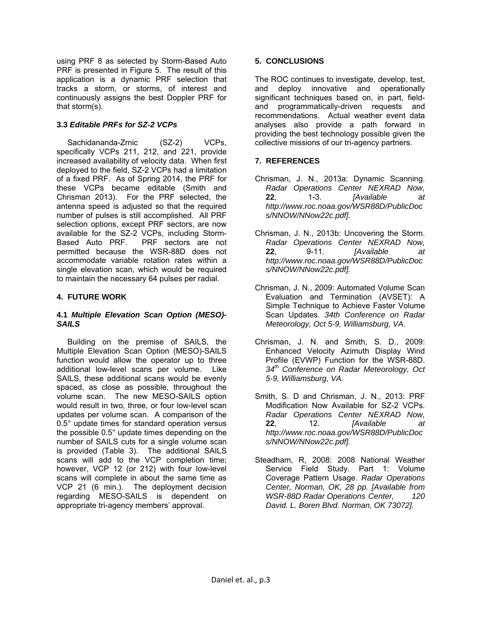using PRF 8 as selected by Storm-Based Auto PRF is presented in Figure 5. The result of this application is a dynamic PRF selection that tracks a storm, or storms, of interest and continuously assigns the best Doppler PRF for that storm(s).

# **3.3** *Editable PRFs for SZ-2 VCPs*

Sachidananda-Zrnic (SZ-2) VCPs, specifically VCPs 211, 212, and 221, provide increased availability of velocity data. When first deployed to the field, SZ-2 VCPs had a limitation of a fixed PRF. As of Spring 2014, the PRF for these VCPs became editable (Smith and Chrisman 2013). For the PRF selected, the antenna speed is adjusted so that the required number of pulses is still accomplished. All PRF selection options, except PRF sectors, are now available for the SZ-2 VCPs, including Storm-Based Auto PRF. PRF sectors are not permitted because the WSR-88D does not accommodate variable rotation rates within a single elevation scan, which would be required to maintain the necessary 64 pulses per radial.

# **4. FUTURE WORK**

#### **4.1** *Multiple Elevation Scan Option (MESO)- SAILS*

Building on the premise of SAILS, the Multiple Elevation Scan Option (MESO)-SAILS function would allow the operator up to three additional low-level scans per volume. Like SAILS, these additional scans would be evenly spaced, as close as possible, throughout the volume scan. The new MESO-SAILS option would result in two, three, or four low-level scan updates per volume scan. A comparison of the 0.5° update times for standard operation versus the possible 0.5° update times depending on the number of SAILS cuts for a single volume scan is provided (Table 3). The additional SAILS scans will add to the VCP completion time; however, VCP 12 (or 212) with four low-level scans will complete in about the same time as VCP 21 (6 min.). The deployment decision regarding MESO-SAILS is dependent on appropriate tri-agency members' approval.

## **5. CONCLUSIONS**

The ROC continues to investigate, develop, test, and deploy innovative and operationally significant techniques based on, in part, fieldand programmatically-driven requests and recommendations. Actual weather event data analyses also provide a path forward in providing the best technology possible given the collective missions of our tri-agency partners.

# **7. REFERENCES**

- Chrisman, J. N., 2013a: Dynamic Scanning. *Radar Operations Center NEXRAD Now,*  **22**, 1-3. *[Available at http://www.roc.noaa.gov/WSR88D/PublicDoc s/NNOW/NNow22c.pdf].*
- Chrisman, J. N., 2013b: Uncovering the Storm. *Radar Operations Center NEXRAD Now,*  **22**, 9-11*. [Available at http://www.roc.noaa.gov/WSR88D/PublicDoc s/NNOW/NNow22c.pdf].*
- Chrisman, J. N., 2009: Automated Volume Scan Evaluation and Termination (AVSET): A Simple Technique to Achieve Faster Volume Scan Updates. *34th Conference on Radar Meteorology, Oct 5-9, Williamsburg, VA*.
- Chrisman, J. N. and Smith, S. D., 2009: Enhanced Velocity Azimuth Display Wind Profile (EVWP) Function for the WSR-88D. *34th Conference on Radar Meteorology, Oct 5-9, Williamsburg, VA.*
- Smith, S. D and Chrisman, J. N., 2013: PRF Modification Now Available for SZ-2 VCPs. *Radar Operations Center NEXRAD Now,*  **22**, 12. *[Available at http://www.roc.noaa.gov/WSR88D/PublicDoc s/NNOW/NNow22c.pdf].*
- Steadham, R, 2008: 2008 National Weather Service Field Study. Part 1: Volume Coverage Pattern Usage. *Radar Operations Center, Norman, OK, 28 pp. [Available from WSR-88D Radar Operations Center, 120 David. L. Boren Blvd. Norman, OK 73072].*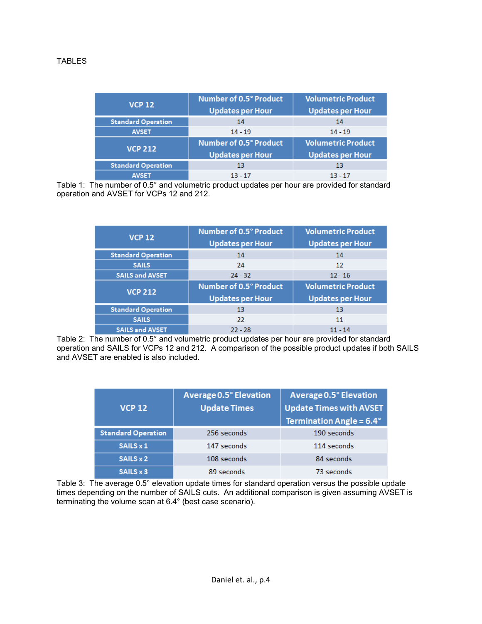| <b>VCP 12</b>             | Number of 0.5° Product<br><b>Updates per Hour</b> | <b>Volumetric Product</b><br><b>Updates per Hour</b> |  |  |  |  |  |  |
|---------------------------|---------------------------------------------------|------------------------------------------------------|--|--|--|--|--|--|
| <b>Standard Operation</b> | 14                                                | 14                                                   |  |  |  |  |  |  |
| <b>AVSET</b>              | $14 - 19$                                         | $14 - 19$                                            |  |  |  |  |  |  |
| <b>VCP 212</b>            | Number of 0.5° Product                            | <b>Volumetric Product</b>                            |  |  |  |  |  |  |
|                           | <b>Updates per Hour</b>                           | <b>Updates per Hour</b>                              |  |  |  |  |  |  |
| <b>Standard Operation</b> | 13                                                | 13                                                   |  |  |  |  |  |  |
|                           | $13 - 17$                                         | 13 - 17                                              |  |  |  |  |  |  |

Table 1: The number of 0.5° and volumetric product updates per hour are provided for standard operation and AVSET for VCPs 12 and 212.

| <b>VCP 12</b>             | Number of 0.5° Product<br><b>Updates per Hour</b> | <b>Volumetric Product</b><br><b>Updates per Hour</b> |  |  |  |  |  |
|---------------------------|---------------------------------------------------|------------------------------------------------------|--|--|--|--|--|
| <b>Standard Operation</b> | 14                                                | 14                                                   |  |  |  |  |  |
| <b>SAILS</b>              | 24                                                | 12                                                   |  |  |  |  |  |
| <b>SAILS and AVSET</b>    | $24 - 32$                                         | $12 - 16$                                            |  |  |  |  |  |
|                           |                                                   |                                                      |  |  |  |  |  |
|                           | <b>Number of 0.5° Product</b>                     | <b>Volumetric Product</b>                            |  |  |  |  |  |
| <b>VCP 212</b>            | <b>Updates per Hour</b>                           | <b>Updates per Hour</b>                              |  |  |  |  |  |
| <b>Standard Operation</b> | 13                                                | 13                                                   |  |  |  |  |  |
| <b>SAILS</b>              | 22                                                | 11                                                   |  |  |  |  |  |

Table 2: The number of 0.5° and volumetric product updates per hour are provided for standard operation and SAILS for VCPs 12 and 212. A comparison of the possible product updates if both SAILS and AVSET are enabled is also included.

| <b>VCP 12</b>             | Average 0.5° Elevation<br><b>Update Times</b> | Average 0.5° Elevation<br><b>Update Times with AVSET</b><br><b>Termination Angle = <math>6.4^{\circ}</math></b> |
|---------------------------|-----------------------------------------------|-----------------------------------------------------------------------------------------------------------------|
| <b>Standard Operation</b> | 256 seconds                                   | 190 seconds                                                                                                     |
| SAILS x 1                 | 147 seconds                                   | 114 seconds                                                                                                     |
| SAILS x 2                 | 108 seconds                                   | 84 seconds                                                                                                      |
| SAILS x 3                 | 89 seconds                                    | 73 seconds                                                                                                      |

Table 3: The average 0.5° elevation update times for standard operation versus the possible update times depending on the number of SAILS cuts. An additional comparison is given assuming AVSET is terminating the volume scan at 6.4° (best case scenario).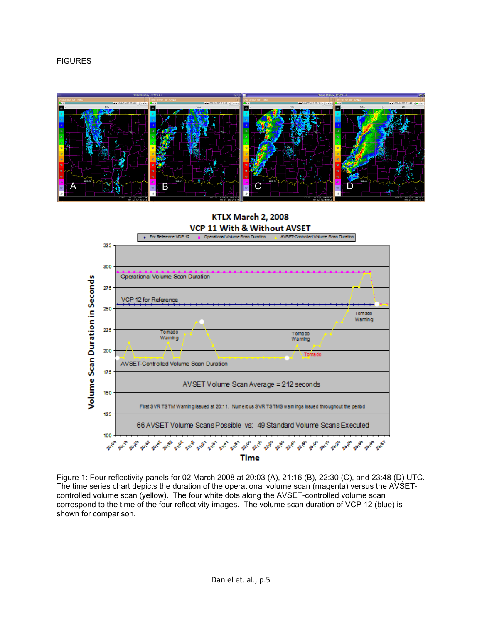



## **KTLX March 2, 2008** VCP 11 With & Without AVSET



Figure 1: Four reflectivity panels for 02 March 2008 at 20:03 (A), 21:16 (B), 22:30 (C), and 23:48 (D) UTC. The time series chart depicts the duration of the operational volume scan (magenta) versus the AVSETcontrolled volume scan (yellow). The four white dots along the AVSET-controlled volume scan correspond to the time of the four reflectivity images. The volume scan duration of VCP 12 (blue) is shown for comparison.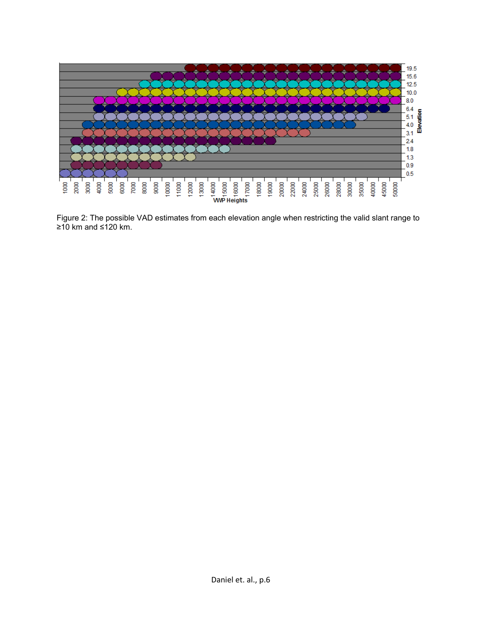

Figure 2: The possible VAD estimates from each elevation angle when restricting the valid slant range to ≥10 km and ≤120 km.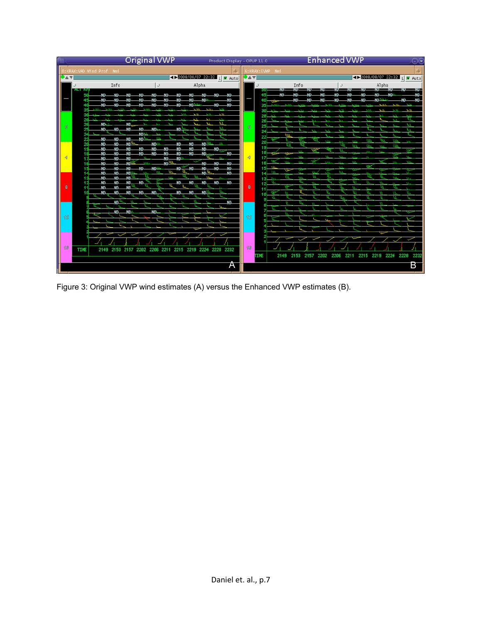|              |             |                          |             | <b>Original VWP</b> |            |      |                  |      |            |               | Product Display - OPUP 11.0 |              |      |                 |            |                 |        |            | <b>Enhanced VWP</b>     |                     |            |                |              | $\bigodot(\mathbf{x})$      |
|--------------|-------------|--------------------------|-------------|---------------------|------------|------|------------------|------|------------|---------------|-----------------------------|--------------|------|-----------------|------------|-----------------|--------|------------|-------------------------|---------------------|------------|----------------|--------------|-----------------------------|
|              |             | 0:KRAX:VAD Wind Prof Nmi |             |                     |            |      |                  |      |            |               |                             |              |      | 6:KRAX:EVWP Nmi |            |                 |        |            |                         |                     |            |                |              |                             |
|              |             |                          |             |                     |            |      |                  |      |            |               | E 2008/08/07 22:32 L F Auto | <b>DAY</b>   |      |                 |            |                 |        |            |                         |                     |            |                |              | 4 2008/08/07 22:32 L V Auto |
|              |             |                          | Info        |                     |            |      |                  |      | Alpha      |               |                             |              |      |                 |            | Info            |        |            |                         |                     |            | Alpha          |              |                             |
|              | ALL NE      | ND.                      | _ND.        |                     |            |      | ND.              |      | ND.        | .ND.          | -ND-                        |              |      |                 | <b>NUL</b> | — NU —— NU —    |        | -NU-       |                         | -ND-                | $-$ ND $-$ | $NU$ $NU$ $NU$ |              | - 20                        |
|              |             | .ND.                     |             |                     |            |      |                  |      | ND.        |               | ND.                         |              |      |                 |            | ND              |        |            | ۷D                      |                     |            | ND-            |              | ND.<br>.ND                  |
|              |             |                          |             |                     |            |      |                  | VD.  |            | ND.           | ΝD.                         |              |      |                 |            |                 |        |            |                         |                     |            |                |              |                             |
|              |             |                          |             |                     |            |      |                  |      |            | $\mathcal{F}$ |                             |              |      |                 |            |                 |        |            |                         |                     |            |                |              | v.                          |
|              |             | ND.                      |             | ND                  |            |      |                  |      |            | M             |                             |              |      |                 |            |                 |        |            |                         |                     |            |                | ×.           | W<br>M                      |
| O.           |             | ND-                      | -ND-        | -ND.                | ND.        | VO 1 | ND.              |      |            | Ĩ.            |                             | $\mathbf{0}$ |      |                 |            |                 |        |            |                         |                     |            |                |              | w                           |
|              |             | ND.                      | .ND.        | _ND.                | ND.        |      |                  |      |            | n.            |                             |              |      |                 |            |                 | ाग     |            | w                       |                     |            |                |              |                             |
|              |             | ND.                      | NN          | ΝD                  |            | um.  | МD.              |      | ND.        |               |                             |              |      |                 |            |                 |        | <b>SAM</b> | $\mathbf{w}$            | $\mathbf{w}$<br>Ш'n | w<br>m     | m<br>w         | uw<br>w      | $\mathbf{w}$                |
|              |             | ND.<br>ND.               | NN<br>ND.   | ΝD<br>ΝD            | ND.<br>ND. | ND.  | ND.<br>ΝD<br>ND. | ND.  | ID.<br>ND. |               | .ND                         |              | 19   |                 |            | $\mathbf{w}$    |        |            | w.                      |                     | w.         | <b>SALE</b>    |              |                             |
|              |             |                          | NN          | ND                  |            |      | ND.              |      |            |               |                             |              |      |                 | <b>SSS</b> | w<br><b>SAN</b> |        | AMA .      | <b>SSA</b><br><b>AN</b> | $\mathbf{w}$        |            |                | $\mathbf{w}$ | ×<br>$\mathbf{w}$           |
|              |             |                          | ผก<br>ΝD    | ND.<br>ND           | ND.        | ND - | ND.<br>ND.       | -ND- | ND.<br>ND. | -ND-<br>ND.   | -ND-<br>-ND                 |              |      |                 |            |                 |        |            | <b>SSS</b>              |                     | w          |                |              |                             |
|              |             | Νħ                       | Νħ          | ND.                 |            |      |                  |      | ND.        |               | NΓι                         |              |      |                 |            |                 | w      |            | w                       |                     | ź<br>ш     |                |              |                             |
|              |             | ΝD.<br>ΝD.               | ND.<br>.ND. | .ND<br>_ND.         | .ND.       |      | w<br>ND.         | ND.  | _ND.       | $M$ d $M$     |                             |              |      |                 | w          | w               | w<br>ź |            |                         | w<br>w              | u.         | us.<br>u.      | w            | $\mathbf{w}$<br>w           |
| $\mathbf{g}$ |             | Νħ                       | ND.         | <b>ND</b>           |            |      |                  |      |            |               |                             | 8            |      |                 |            |                 |        |            |                         | u.                  | w          |                | u.           |                             |
|              |             | ΝD                       | ND.         | _ND.                | .ND.       | ND.  | ND.              | ND.  | _ND.       | u.            |                             |              |      |                 |            |                 |        | u.         |                         | u۱                  | w.         |                | n.           | u.                          |
|              |             |                          | NN          |                     |            |      |                  | n    |            |               | ND.                         |              |      |                 |            | w               |        |            |                         |                     |            |                |              |                             |
|              |             |                          | .ND         | <b>ND</b>           |            |      |                  |      |            |               |                             |              |      |                 |            |                 |        |            |                         |                     |            |                |              |                             |
| 12           |             |                          |             |                     |            |      |                  |      |            |               |                             | 12           |      |                 |            |                 |        |            |                         |                     |            |                |              |                             |
|              |             |                          |             |                     |            |      |                  |      |            |               |                             |              |      |                 |            |                 |        |            |                         |                     |            |                |              |                             |
|              |             |                          |             |                     |            |      |                  |      |            |               |                             |              |      |                 |            |                 |        |            |                         |                     |            |                |              |                             |
|              |             |                          |             |                     |            |      |                  |      |            |               |                             |              |      |                 |            |                 |        |            |                         |                     |            |                |              |                             |
| 16           | <b>TIME</b> | 2149                     |             | 2153 2157 2202      |            | 2206 | 2211<br>2215     | 2219 | 2224       | 2228 2232     |                             | 16           |      |                 |            |                 |        |            |                         |                     |            |                |              |                             |
|              |             |                          |             |                     |            |      |                  |      |            |               |                             |              | TIME |                 | 2149       | 2153            | 2157   | 2202       | 2206                    | 2211                | 2215       | 2219           | 2224         | 2228<br>223                 |
|              |             |                          |             |                     |            |      |                  |      |            |               |                             |              |      |                 |            |                 |        |            |                         |                     |            |                |              |                             |
|              |             |                          |             |                     |            |      |                  |      |            |               | Α                           |              |      |                 |            |                 |        |            |                         |                     |            |                |              | В                           |

Figure 3: Original VWP wind estimates (A) versus the Enhanced VWP estimates (B).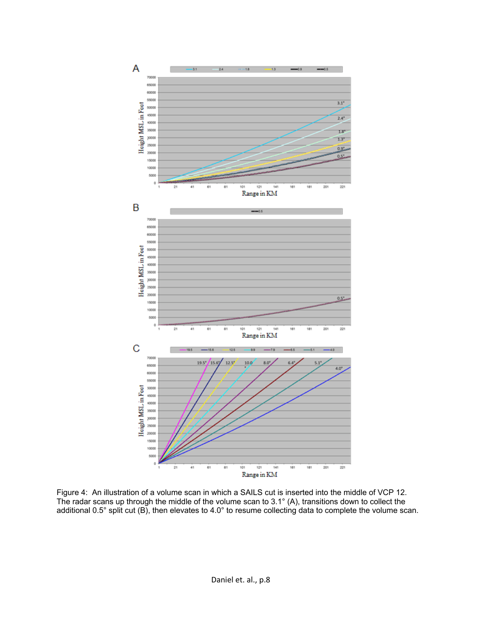

Figure 4: An illustration of a volume scan in which a SAILS cut is inserted into the middle of VCP 12. The radar scans up through the middle of the volume scan to 3.1° (A), transitions down to collect the additional 0.5° split cut (B), then elevates to 4.0° to resume collecting data to complete the volume scan.